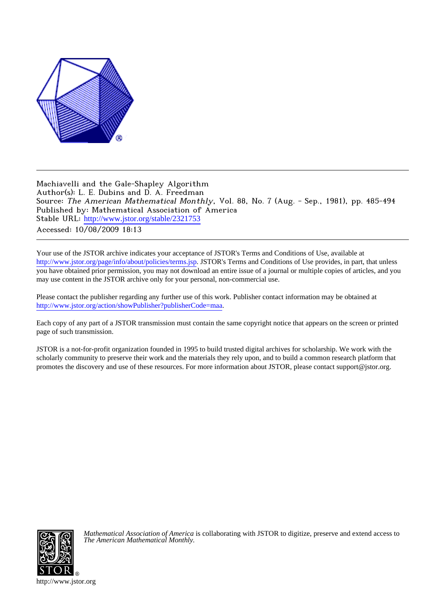

Machiavelli and the Gale-Shapley Algorithm Author(s): L. E. Dubins and D. A. Freedman Source: The American Mathematical Monthly, Vol. 88, No. 7 (Aug. - Sep., 1981), pp. 485-494 Published by: Mathematical Association of America Stable URL: [http://www.jstor.org/stable/2321753](http://www.jstor.org/stable/2321753?origin=JSTOR-pdf) Accessed: 10/08/2009 18:13

Your use of the JSTOR archive indicates your acceptance of JSTOR's Terms and Conditions of Use, available at <http://www.jstor.org/page/info/about/policies/terms.jsp>. JSTOR's Terms and Conditions of Use provides, in part, that unless you have obtained prior permission, you may not download an entire issue of a journal or multiple copies of articles, and you may use content in the JSTOR archive only for your personal, non-commercial use.

Please contact the publisher regarding any further use of this work. Publisher contact information may be obtained at [http://www.jstor.org/action/showPublisher?publisherCode=maa.](http://www.jstor.org/action/showPublisher?publisherCode=maa)

Each copy of any part of a JSTOR transmission must contain the same copyright notice that appears on the screen or printed page of such transmission.

JSTOR is a not-for-profit organization founded in 1995 to build trusted digital archives for scholarship. We work with the scholarly community to preserve their work and the materials they rely upon, and to build a common research platform that promotes the discovery and use of these resources. For more information about JSTOR, please contact support@jstor.org.



*Mathematical Association of America* is collaborating with JSTOR to digitize, preserve and extend access to *The American Mathematical Monthly.*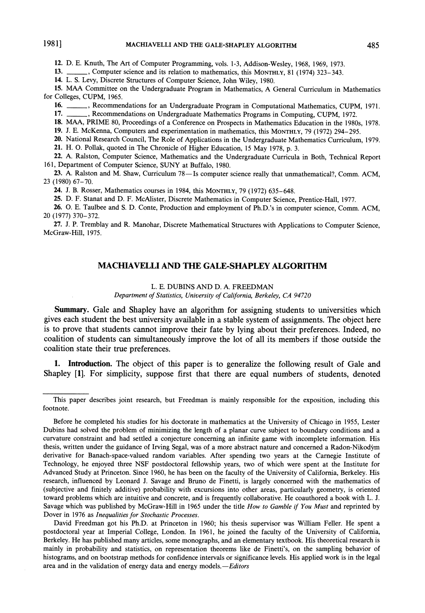12. D. E. Knuth, The Art of Computer Programming, vols. 1-3, Addison-Wesley, 1968, 1969, 1973.

\_, Computer science and its relation to mathematics, this MONTHLY, 81 (1974) 323-343. **13.** 

14. L. S. Levy, Discrete Structures of Computer Science, John Wiley, 1980.

15. MAA Committee on the Undergraduate Program in Mathematics, A General Curriculum in Mathematics for Colleges, CUPM, 1965.

16. ..., Recommendations for an Undergraduate Program in Computational Mathematics, CUPM, 1971.

17. \_, Recommendations on Undergraduate Mathematics Programs in Computing, CUPM, 1972.

18. MAA, PRIME 80, Proceedings of a Conference on Prospects in Mathematics Education in the 1980s, 1978.

19. J. E. McKenna, Computers and experimentation in mathematics, this MONTHLY, 79 (1972) 294-295.

20. National Research Council, The Role of Applications in the Undergraduate Mathematics Curriculum, 1979. 21. H. O. Pollak, quoted in The Chronicle of Higher Education, 15 May 1978, p. 3.

22. A. Ralston, Computer Science, Mathematics and the Undergraduate Curricula in Both, Technical Report 161, Department of Computer Science, SUNY at Buffalo, 1980.

23. A. Ralston and M. Shaw, Curriculum 78-Is computer science really that unmathematical?, Comm. ACM, 23 (1980) 67-70.

24. J. B. Rosser, Mathematics courses in 1984, this MONTHLY, 79 (1972) 635-648.

25. D. F. Stanat and D. F. McAlister, Discrete Mathematics in Computer Science, Prentice-Hall, 1977.

26. O. E. Taulbee and S. D. Conte, Production and employment of Ph.D.'s in computer science, Comm. ACM, 20 (1977) 370-372.

27. J. P. Tremblay and R. Manohar, Discrete Mathematical Structures with Applications to Computer Science, McGraw-Hill, 1975.

## **MACHIAVELLI AND THE GALE-SHAPLEY ALGORITHM**

### L. E. DUBINS AND D. A. FREEDMAN

Department of Statistics, University of California, Berkeley, CA 94720

Summary. Gale and Shapley have an algorithm for assigning students to universities which gives each student the best university available in a stable system of assignments. The object here is to prove that students cannot improve their fate by lying about their preferences. Indeed, no coalition of students can simultaneously improve the lot of all its members if those outside the coalition state their true preferences.

1. Introduction. The object of this paper is to generalize the following result of Gale and Shapley [1]. For simplicity, suppose first that there are equal numbers of students, denoted

David Freedman got his Ph.D. at Princeton in 1960; his thesis supervisor was William Feller. He spent a postdoctoral year at Imperial College, London. In 1961, he joined the faculty of the University of California, Berkeley. He has published many articles, some monographs, and an elementary textbook. His theoretical research is mainly in probability and statistics, on representation theorems like de Finetti's, on the sampling behavior of histograms, and on bootstrap methods for confidence intervals or significance levels. His applied work is in the legal area and in the validation of energy data and energy models.-Editors

This paper describes joint research, but Freedman is mainly responsible for the exposition, including this footnote.

Before he completed his studies for his doctorate in mathematics at the University of Chicago in 1955, Lester Dubins had solved the problem of minimizing the length of a planar curve subject to boundary conditions and a curvature constraint and had settled a conjecture concerning an infinite game with incomplete information. His thesis, written under the guidance of Irving Segal, was of a more abstract nature and concerned a Radon-Nikodým derivative for Banach-space-valued random variables. After spending two years at the Carnegie Institute of Technology, he enjoyed three NSF postdoctoral fellowship years, two of which were spent at the Institute for Advanced Study at Princeton. Since 1960, he has been on the faculty of the University of California, Berkeley. His research, influenced by Leonard J. Savage and Bruno de Finetti, is largely concerned with the mathematics of (subjective and finitely additive) probability with excursions into other areas, particularly geometry, is oriented toward problems which are intuitive and concrete, and is frequently collaborative. He coauthored a book with L. J. Savage which was published by McGraw-Hill in 1965 under the title How to Gamble if You Must and reprinted by Dover in 1976 as Inequalities for Stochastic Processes.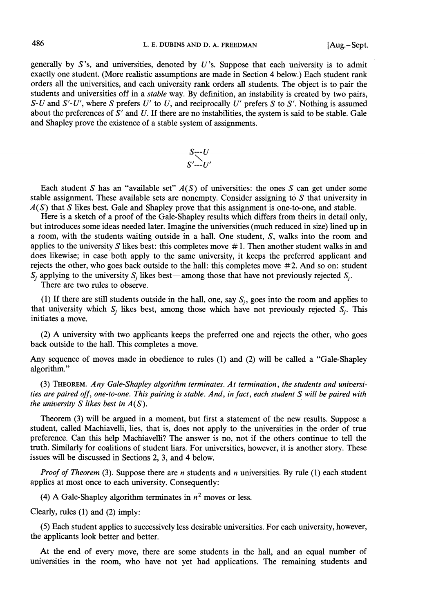generally by  $S$ 's, and universities, denoted by  $U$ 's. Suppose that each university is to admit exactly one student. (More realistic assumptions are made in Section 4 below.) Each student rank orders all the universities, and each university rank orders all students. The object is to pair the students and universities off in a *stable* way. By definition, an instability is created by two pairs, S-U and S'-U', where S prefers U' to U, and reciprocally U' prefers S to S'. Nothing is assumed about the preferences of  $S'$  and  $U$ . If there are no instabilities, the system is said to be stable. Gale and Shapley prove the existence of a stable system of assignments.

$$
S\subseteq U
$$
  

$$
S'\subseteq U'
$$

Each student S has an "available set"  $A(S)$  of universities: the ones S can get under some stable assignment. These available sets are nonempty. Consider assigning to  $S$  that university in  $A(S)$  that S likes best. Gale and Shapley prove that this assignment is one-to-one, and stable.

Here is a sketch of a proof of the Gale-Shapley results which differs from theirs in detail only, but introduces some ideas needed later. Imagine the universities (much reduced in size) lined up in a room, with the students waiting outside in a hall. One student, S, walks into the room and applies to the university  $S$  likes best: this completes move  $#1$ . Then another student walks in and does likewise; in case both apply to the same university, it keeps the preferred applicant and rejects the other, who goes back outside to the hall: this completes move #2. And so on: student  $S_i$  applying to the university  $S_i$  likes best—among those that have not previously rejected  $S_i$ .

There are two rules to observe.

(1) If there are still students outside in the hall, one, say  $S_i$ , goes into the room and applies to that university which  $S_i$  likes best, among those which have not previously rejected  $S_i$ . This initiates a move.

(2) A university with two applicants keeps the preferred one and rejects the other, who goes back outside to the hall. This completes a move.

Any sequence of moves made in obedience to rules (1) and (2) will be called a "Gale-Shapley algorithm."

(3) THEOREM. Any Gale-Shapley algorithm terminates. At termination, the students and universities are paired off, one-to-one. This pairing is stable. And, in fact, each student S will be paired with the university S likes best in  $A(S)$ .

Theorem (3) will be argued in a moment, but first a statement of the new results. Suppose a student, called Machiavelli, lies, that is, does not apply to the universities in the order of true preference. Can this help Machiavelli? The answer is no, not if the others continue to tell the truth. Similarly for coalitions of student liars. For universities, however, it is another story. These issues will be discussed in Sections 2, 3, and 4 below.

*Proof of Theorem* (3). Suppose there are *n* students and *n* universities. By rule (1) each student applies at most once to each university. Consequently:

(4) A Gale-Shapley algorithm terminates in  $n^2$  moves or less.

Clearly, rules  $(1)$  and  $(2)$  imply:

(5) Each student applies to successively less desirable universities. For each university, however, the applicants look better and better.

At the end of every move, there are some students in the hall, and an equal number of universities in the room, who have not yet had applications. The remaining students and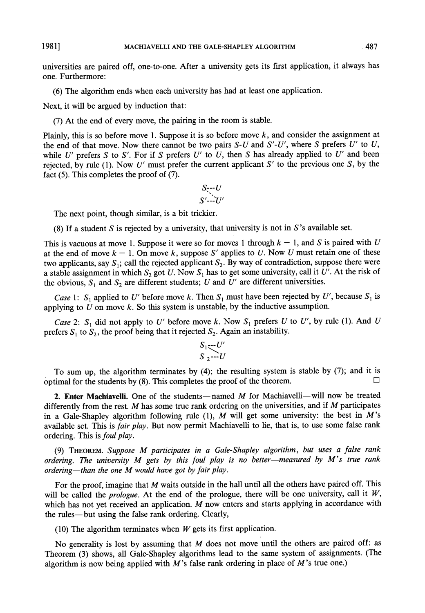1981]

universities are paired off, one-to-one. After a university gets its first application, it always has one. Furthermore:

(6) The algorithm ends when each university has had at least one application.

Next, it will be argued by induction that:

(7) At the end of every move, the pairing in the room is stable.

Plainly, this is so before move 1. Suppose it is so before move  $k$ , and consider the assignment at the end of that move. Now there cannot be two pairs  $S-U$  and  $S'-U'$ , where S prefers U' to U, while U' prefers S to S'. For if S prefers U' to U, then S has already applied to U' and been rejected, by rule (1). Now U' must prefer the current applicant  $S'$  to the previous one S, by the fact  $(5)$ . This completes the proof of  $(7)$ .

$$
S_{\overline{y}}\cdot U
$$
  

$$
S'\cdot\cdot\cdot U'
$$

The next point, though similar, is a bit trickier.

(8) If a student S is rejected by a university, that university is not in S's available set.

This is vacuous at move 1. Suppose it were so for moves 1 through  $k - 1$ , and S is paired with U at the end of move  $k - 1$ . On move k, suppose S' applies to U. Now U must retain one of these two applicants, say  $S_1$ ; call the rejected applicant  $S_2$ . By way of contradiction, suppose there were a stable assignment in which  $S_2$  got U. Now  $S_1$  has to get some university, call it U'. At the risk of the obvious,  $S_1$  and  $S_2$  are different students; U and U' are different universities.

*Case* 1: S<sub>1</sub> applied to U' before move k. Then S<sub>1</sub> must have been rejected by U', because S<sub>1</sub> is applying to  $U$  on move  $k$ . So this system is unstable, by the inductive assumption.

Case 2:  $S_1$  did not apply to U' before move k. Now  $S_1$  prefers U to U', by rule (1). And U prefers  $S_1$  to  $S_2$ , the proof being that it rejected  $S_2$ . Again an instability.

$$
S_1 \underbrace{\cdots U'}_{S_2 \cdots U}
$$

To sum up, the algorithm terminates by (4); the resulting system is stable by (7); and it is optimal for the students by (8). This completes the proof of the theorem.

2. Enter Machiavelli. One of the students—named  $M$  for Machiavelli—will now be treated differently from the rest.  $M$  has some true rank ordering on the universities, and if  $M$  participates in a Gale-Shapley algorithm following rule (1), M will get some university: the best in M's available set. This is fair play. But now permit Machiavelli to lie, that is, to use some false rank ordering. This is foul play.

(9) THEOREM. Suppose M participates in a Gale-Shapley algorithm, but uses a false rank ordering. The university M gets by this foul play is no better-measured by M's true rank ordering—than the one M would have got by fair play.

For the proof, imagine that  $M$  waits outside in the hall until all the others have paired off. This will be called the *prologue*. At the end of the prologue, there will be one university, call it  $W$ , which has not yet received an application. M now enters and starts applying in accordance with the rules—but using the false rank ordering. Clearly,

(10) The algorithm terminates when  $W$  gets its first application.

No generality is lost by assuming that  $M$  does not move until the others are paired off: as Theorem (3) shows, all Gale-Shapley algorithms lead to the same system of assignments. (The algorithm is now being applied with  $M$ 's false rank ordering in place of  $M$ 's true one.)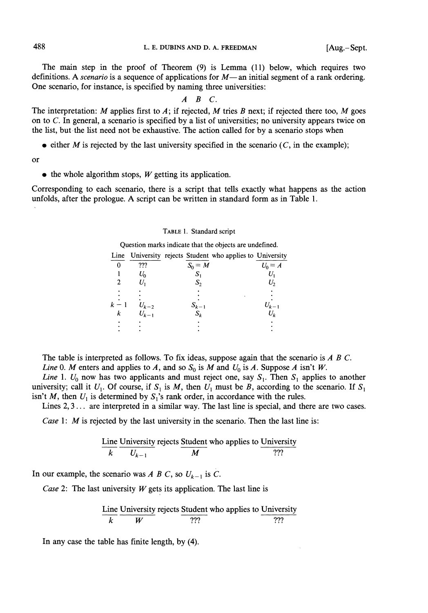The main step in the proof of Theorem (9) is Lemma (11) below, which requires two definitions. A *scenario* is a sequence of applications for  $M$ —an initial segment of a rank ordering. One scenario, for instance, is specified by naming three universities:

# $A$   $B$   $C$ .

The interpretation: M applies first to A; if rejected, M tries B next; if rejected there too, M goes on to  $C$ . In general, a scenario is specified by a list of universities; no university appears twice on the list, but the list need not be exhaustive. The action called for by a scenario stops when

• either M is rejected by the last university specified in the scenario  $(C, \text{ in the example})$ ;

 $\alpha$ 

 $\bullet$  the whole algorithm stops, W getting its application.

Corresponding to each scenario, there is a script that tells exactly what happens as the action unfolds, after the prologue. A script can be written in standard form as in Table 1.

#### TABLE 1. Standard script

Question marks indicate that the objects are undefined.

|   |           | Line University rejects Student who applies to University |           |
|---|-----------|-----------------------------------------------------------|-----------|
|   | ???       | $S_0 = M$                                                 | $U_0 = A$ |
|   | $U_{0}$   | S                                                         |           |
|   |           |                                                           |           |
|   |           |                                                           |           |
|   | $U_{k-2}$ | $S_{k-1}$                                                 |           |
| k | $U_{k-1}$ | $S_k$                                                     | $U_k$     |
|   |           |                                                           |           |
|   |           |                                                           |           |

The table is interpreted as follows. To fix ideas, suppose again that the scenario is  $A \, B \, C$ . Line 0. M enters and applies to A, and so  $S_0$  is M and  $U_0$  is A. Suppose A isn't W.

Line 1.  $U_0$  now has two applicants and must reject one, say  $S_1$ . Then  $S_1$  applies to another university; call it  $U_1$ . Of course, if  $S_1$  is M, then  $U_1$  must be B, according to the scenario. If  $S_1$ isn't M, then  $U_1$  is determined by  $S_1$ 's rank order, in accordance with the rules.

Lines  $2, 3...$  are interpreted in a similar way. The last line is special, and there are two cases.

Case 1:  $M$  is rejected by the last university in the scenario. Then the last line is:

Line University rejects Student who applies to University  
\n
$$
\frac{Line U_n}{k} \frac{U_{k-1}}{U_{k-1}}
$$

In our example, the scenario was A B C, so  $U_{k-1}$  is C.

Case 2: The last university  $W$  gets its application. The last line is

Line University rejects Student who applies to University 
$$
\frac{V}{W}
$$

In any case the table has finite length, by (4).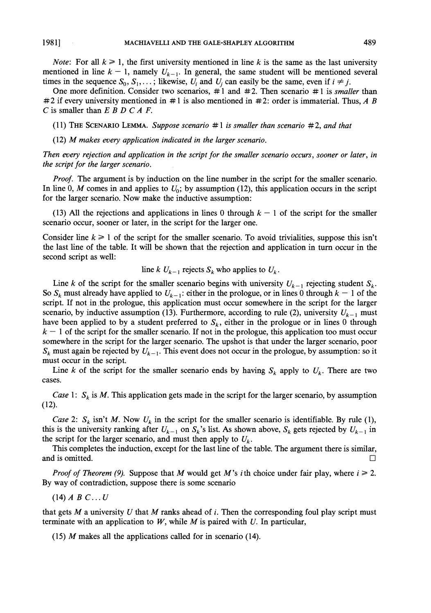*Note:* For all  $k \ge 1$ , the first university mentioned in line k is the same as the last university mentioned in line  $k-1$ , namely  $U_{k-1}$ . In general, the same student will be mentioned several times in the sequence  $S_0, S_1, \ldots$ ; likewise,  $U_i$  and  $U_i$  can easily be the same, even if  $i \neq j$ .

One more definition. Consider two scenarios,  $\#1$  and  $\#2$ . Then scenario  $\#1$  is *smaller* than #2 if every university mentioned in #1 is also mentioned in #2; order is immaterial. Thus, A B C is smaller than  $E$  B D C A F.

(11) THE SCENARIO LEMMA. Suppose scenario  $\#1$  is smaller than scenario  $\#2$ , and that

 $(12)$  M makes every application indicated in the larger scenario.

Then every rejection and application in the script for the smaller scenario occurs, sooner or later, in the script for the larger scenario.

*Proof.* The argument is by induction on the line number in the script for the smaller scenario. In line 0, M comes in and applies to  $U_0$ ; by assumption (12), this application occurs in the script for the larger scenario. Now make the inductive assumption:

(13) All the rejections and applications in lines 0 through  $k-1$  of the script for the smaller scenario occur, sooner or later, in the script for the larger one.

Consider line  $k \ge 1$  of the script for the smaller scenario. To avoid trivialities, suppose this isn't the last line of the table. It will be shown that the rejection and application in turn occur in the second script as well:

line k  $U_{k-1}$  rejects  $S_k$  who applies to  $U_k$ .

Line k of the script for the smaller scenario begins with university  $U_{k-1}$  rejecting student  $S_k$ . So  $S_k$  must already have applied to  $U_{k-1}$ : either in the prologue, or in lines 0 through  $k-1$  of the script. If not in the prologue, this application must occur somewhere in the script for the larger scenario, by inductive assumption (13). Furthermore, according to rule (2), university  $U_{k-1}$  must have been applied to by a student preferred to  $S_k$ , either in the prologue or in lines 0 through  $k-1$  of the script for the smaller scenario. If not in the prologue, this application too must occur somewhere in the script for the larger scenario. The upshot is that under the larger scenario, poor  $S_k$  must again be rejected by  $U_{k-1}$ . This event does not occur in the prologue, by assumption: so it must occur in the script.

Line k of the script for the smaller scenario ends by having  $S_k$  apply to  $U_k$ . There are two cases.

Case 1:  $S_k$  is M. This application gets made in the script for the larger scenario, by assumption  $(12).$ 

Case 2:  $S_k$  isn't M. Now  $U_k$  in the script for the smaller scenario is identifiable. By rule (1), this is the university ranking after  $U_{k-1}$  on  $S_k$ 's list. As shown above,  $S_k$  gets rejected by  $U_{k-1}$  in the script for the larger scenario, and must then apply to  $U_k$ .

This completes the induction, except for the last line of the table. The argument there is similar, and is omitted.  $\Box$ 

*Proof of Theorem (9).* Suppose that M would get M's *i*th choice under fair play, where  $i \ge 2$ . By way of contradiction, suppose there is some scenario

 $(14)$  A B C...U

that gets  $M$  a university  $U$  that  $M$  ranks ahead of  $i$ . Then the corresponding foul play script must terminate with an application to  $W$ , while  $M$  is paired with  $U$ . In particular,

(15)  $M$  makes all the applications called for in scenario (14).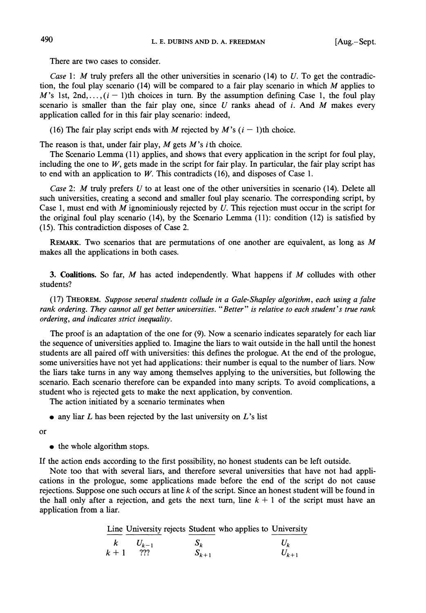There are two cases to consider.

Case 1: M truly prefers all the other universities in scenario  $(14)$  to U. To get the contradiction, the foul play scenario  $(14)$  will be compared to a fair play scenario in which M applies to M's 1st, 2nd,...,  $(i - 1)$ th choices in turn. By the assumption defining Case 1, the foul play scenario is smaller than the fair play one, since  $U$  ranks ahead of  $i$ . And  $M$  makes every application called for in this fair play scenario: indeed,

(16) The fair play script ends with M rejected by M's  $(i - 1)$ th choice.

The reason is that, under fair play,  $M$  gets  $M$ 's *i*th choice.

The Scenario Lemma (11) applies, and shows that every application in the script for foul play, including the one to  $W$ , gets made in the script for fair play. In particular, the fair play script has to end with an application to  $W$ . This contradicts (16), and disposes of Case 1.

Case 2: M truly prefers U to at least one of the other universities in scenario (14). Delete all such universities, creating a second and smaller foul play scenario. The corresponding script, by Case 1, must end with M ignominiously rejected by  $U$ . This rejection must occur in the script for the original foul play scenario (14), by the Scenario Lemma  $(11)$ : condition  $(12)$  is satisfied by (15). This contradiction disposes of Case 2.

REMARK. Two scenarios that are permutations of one another are equivalent, as long as  $M$ makes all the applications in both cases.

3. Coalitions. So far,  $M$  has acted independently. What happens if  $M$  colludes with other students?

(17) THEOREM. Suppose several students collude in a Gale-Shapley algorithm, each using a false rank ordering. They cannot all get better universities. "Better" is relative to each student's true rank ordering, and indicates strict inequality.

The proof is an adaptation of the one for (9). Now a scenario indicates separately for each liar the sequence of universities applied to. Imagine the liars to wait outside in the hall until the honest students are all paired off with universities: this defines the prologue. At the end of the prologue, some universities have not yet had applications: their number is equal to the number of liars. Now the liars take turns in any way among themselves applying to the universities, but following the scenario. Each scenario therefore can be expanded into many scripts. To avoid complications, a student who is rejected gets to make the next application, by convention.

The action initiated by a scenario terminates when

 $\bullet$  any liar L has been rejected by the last university on L's list

**or** 

• the whole algorithm stops.

If the action ends according to the first possibility, no honest students can be left outside.

Note too that with several liars, and therefore several universities that have not had applications in the prologue, some applications made before the end of the script do not cause rejections. Suppose one such occurs at line  $k$  of the script. Since an honest student will be found in the hall only after a rejection, and gets the next turn, line  $k + 1$  of the script must have an application from a liar.

Line University rejects Student who applies to University

 $S_k$ <br> $S_{k+1}$  $\boldsymbol{k}$  $U_{\nu}$  $U_{k-1}$  $k+1$ ???  $U_{k+1}$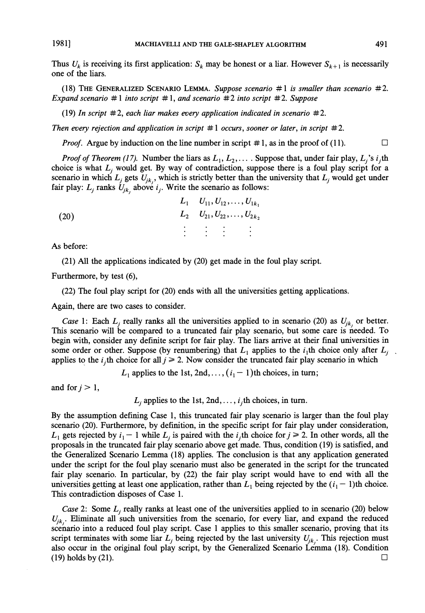19811

Thus  $U_k$  is receiving its first application:  $S_k$  may be honest or a liar. However  $S_{k+1}$  is necessarily one of the liars.

(18) THE GENERALIZED SCENARIO LEMMA. Suppose scenario  $\#1$  is smaller than scenario  $\#2$ . Expand scenario #1 into script #1, and scenario #2 into script #2. Suppose

(19) In script  $\#2$ , each liar makes every application indicated in scenario  $\#2$ .

Then every rejection and application in script  $\#1$  occurs, sooner or later, in script  $\#2$ .

*Proof.* Argue by induction on the line number in script  $\# 1$ , as in the proof of (11).  $\Box$ 

*Proof of Theorem (17).* Number the liars as  $L_1, L_2, \ldots$  Suppose that, under fair play,  $L_i$ 's i<sub>i</sub>th choice is what  $L_i$  would get. By way of contradiction, suppose there is a foul play script for a scenario in which  $L_j$  gets  $U_{jk}$ , which is strictly better than the university that  $L_j$  would get under fair play:  $L_i$  ranks  $U_{ik}$ , above  $i_j$ . Write the scenario as follows:

|      |  | $L_1$ $U_{11}$ , $U_{12}$ , , $U_{1k_1}$                                                                                                                                                                                                                                                                                                                                                                                                                 |
|------|--|----------------------------------------------------------------------------------------------------------------------------------------------------------------------------------------------------------------------------------------------------------------------------------------------------------------------------------------------------------------------------------------------------------------------------------------------------------|
| (20) |  | $L_2$ $U_{21}, U_{22}, \ldots, U_{2k_2}$                                                                                                                                                                                                                                                                                                                                                                                                                 |
|      |  | $\label{eq:3.1} \mathcal{L}(\mathcal{L}^{\mathcal{L}}(\mathcal{L}^{\mathcal{L}}(\mathcal{L}^{\mathcal{L}}(\mathcal{L}^{\mathcal{L}}(\mathcal{L}^{\mathcal{L}}(\mathcal{L}^{\mathcal{L}}(\mathcal{L}^{\mathcal{L}}(\mathcal{L}^{\mathcal{L}}(\mathcal{L}^{\mathcal{L}}(\mathcal{L}^{\mathcal{L}}(\mathcal{L}^{\mathcal{L}}(\mathcal{L}^{\mathcal{L}}(\mathcal{L}^{\mathcal{L}}(\mathcal{L}^{\mathcal{L}}(\mathcal{L}^{\mathcal{L}}(\mathcal{L}^{\mathcal$ |
|      |  |                                                                                                                                                                                                                                                                                                                                                                                                                                                          |
|      |  |                                                                                                                                                                                                                                                                                                                                                                                                                                                          |

As before:

(21) All the applications indicated by (20) get made in the foul play script.

Furthermore, by test (6),

(22) The foul play script for (20) ends with all the universities getting applications.

Again, there are two cases to consider.

Case 1: Each  $L_i$  really ranks all the universities applied to in scenario (20) as  $U_{ik}$  or better. This scenario will be compared to a truncated fair play scenario, but some care is needed. To begin with, consider any definite script for fair play. The liars arrive at their final universities in some order or other. Suppose (by renumbering) that  $L_1$  applies to the  $i_1$ th choice only after  $L_i$  $\ddot{\phantom{1}}$ applies to the *i*, th choice for all  $j \ge 2$ . Now consider the truncated fair play scenario in which

 $L_1$  applies to the 1st, 2nd, ...,  $(i_1 - 1)$ th choices, in turn;

and for  $j > 1$ ,

 $L_i$  applies to the 1st, 2nd, ...,  $i_j$ th choices, in turn.

By the assumption defining Case 1, this truncated fair play scenario is larger than the foul play scenario (20). Furthermore, by definition, in the specific script for fair play under consideration,  $L_1$  gets rejected by  $i_1 - 1$  while  $L_i$  is paired with the  $i_j$ th choice for  $j \ge 2$ . In other words, all the proposals in the truncated fair play scenario above get made. Thus, condition (19) is satisfied, and the Generalized Scenario Lemma (18) applies. The conclusion is that any application generated under the script for the foul play scenario must also be generated in the script for the truncated fair play scenario. In particular, by (22) the fair play script would have to end with all the universities getting at least one application, rather than  $L_1$  being rejected by the  $(i_1 - 1)$ th choice. This contradiction disposes of Case 1.

Case 2: Some  $L_i$  really ranks at least one of the universities applied to in scenario (20) below  $U_{jk}$ . Eliminate all such universities from the scenario, for every liar, and expand the reduced scenario into a reduced foul play script. Case 1 applies to this smaller scenario, proving that its script terminates with some liar  $L_i$  being rejected by the last university  $U_{ik}$ . This rejection must also occur in the original foul play script, by the Generalized Scenario Lemma (18). Condition  $(19)$  holds by  $(21)$ . □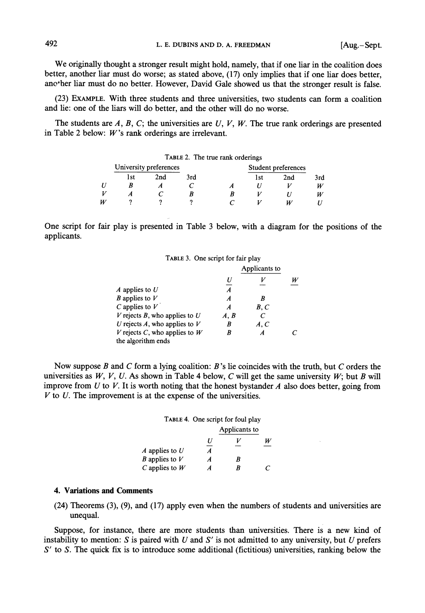We originally thought a stronger result might hold, namely, that if one liar in the coalition does better, another liar must do worse; as stated above, (17) only implies that if one liar does better, ano ther liar must do no better. However, David Gale showed us that the stronger result is false.

(23) EXAMPLE. With three students and three universities, two students can form a coalition and lie: one of the liars will do better, and the other will do no worse.

The students are  $A, B, C$ ; the universities are  $U, V, W$ . The true rank orderings are presented in Table 2 below:  $W$ 's rank orderings are irrelevant.

|   |                        |     | TABLE 2. The true rank orderings |     |                     |     |
|---|------------------------|-----|----------------------------------|-----|---------------------|-----|
|   | University preferences |     |                                  |     | Student preferences |     |
|   | l st                   | 2nd | 3rd                              | 1st | 2nd                 | 3rd |
|   |                        |     |                                  |     |                     | W   |
|   |                        |     |                                  |     |                     | W   |
| W |                        |     |                                  |     |                     |     |

One script for fair play is presented in Table 3 below, with a diagram for the positions of the applicants.

### TABLE 3. One script for fair play

|                                 |                  | Applicants to |   |
|---------------------------------|------------------|---------------|---|
|                                 |                  |               | W |
| A applies to U                  | $\boldsymbol{A}$ |               |   |
| <i>B</i> applies to $V$         | A                |               |   |
| $C$ applies to $V$              | A                | B, C          |   |
| V rejects B, who applies to $U$ | A. B             | C             |   |
| U rejects A, who applies to $V$ | B                | A, C          |   |
| V rejects C, who applies to $W$ |                  | A             |   |
| the algorithm ends              |                  |               |   |

Now suppose  $B$  and  $C$  form a lying coalition:  $B$ 's lie coincides with the truth, but  $C$  orders the universities as  $W$ ,  $V$ ,  $U$ . As shown in Table 4 below,  $C$  will get the same university  $W$ ; but  $B$  will improve from  $U$  to  $V$ . It is worth noting that the honest bystander  $A$  also does better, going from  $V$  to  $U$ . The improvement is at the expense of the universities.

|                         | TABLE 4. One script for foul play |               |  |  |
|-------------------------|-----------------------------------|---------------|--|--|
|                         |                                   | Applicants to |  |  |
|                         | U                                 |               |  |  |
| A applies to $U$        | Á                                 |               |  |  |
| <i>B</i> applies to $V$ | A                                 | R             |  |  |
| $C$ applies to $W$      | Α                                 | R             |  |  |

### **4. Variations and Comments**

 $(24)$  Theorems  $(3)$ ,  $(9)$ , and  $(17)$  apply even when the numbers of students and universities are unequal.

Suppose, for instance, there are more students than universities. There is a new kind of instability to mention:  $S$  is paired with  $U$  and  $S'$  is not admitted to any university, but  $U$  prefers  $S'$  to S. The quick fix is to introduce some additional (fictitious) universities, ranking below the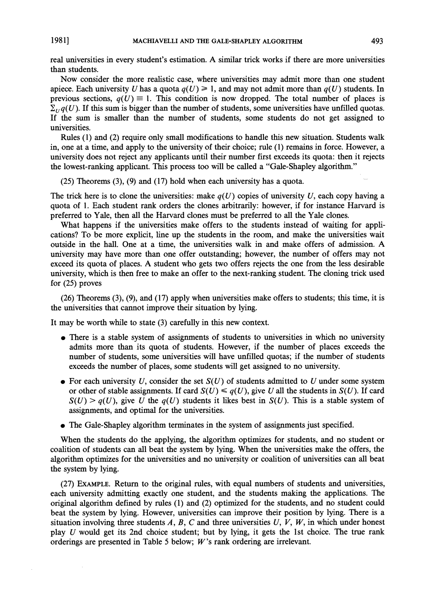1981]

real universities in every student's estimation. A similar trick works if there are more universities than students.

Now consider the more realistic case, where universities may admit more than one student apiece. Each university U has a quota  $q(U) \ge 1$ , and may not admit more than  $q(U)$  students. In previous sections,  $q(U) \equiv 1$ . This condition is now dropped. The total number of places is  $\sum_{U} q(U)$ . If this sum is bigger than the number of students, some universities have unfilled quotas. If the sum is smaller than the number of students, some students do not get assigned to universities.

Rules (1) and (2) require only small modifications to handle this new situation. Students walk in, one at a time, and apply to the university of their choice; rule (1) remains in force. However, a university does not reject any applicants until their number first exceeds its quota: then it rejects the lowest-ranking applicant. This process too will be called a "Gale-Shapley algorithm."

 $(25)$  Theorems  $(3)$ ,  $(9)$  and  $(17)$  hold when each university has a quota.

The trick here is to clone the universities: make  $q(U)$  copies of university U, each copy having a quota of 1. Each student rank orders the clones arbitrarily: however, if for instance Harvard is preferred to Yale, then all the Harvard clones must be preferred to all the Yale clones.

What happens if the universities make offers to the students instead of waiting for applications? To be more explicit, line up the students in the room, and make the universities wait outside in the hall. One at a time, the universities walk in and make offers of admission. A university may have more than one offer outstanding; however, the number of offers may not exceed its quota of places. A student who gets two offers rejects the one from the less desirable university, which is then free to make an offer to the next-ranking student. The cloning trick used for  $(25)$  proves

 $(26)$  Theorems  $(3)$ ,  $(9)$ , and  $(17)$  apply when universities make offers to students; this time, it is the universities that cannot improve their situation by lying.

It may be worth while to state (3) carefully in this new context.

- There is a stable system of assignments of students to universities in which no university admits more than its quota of students. However, if the number of places exceeds the number of students, some universities will have unfilled quotas; if the number of students exceeds the number of places, some students will get assigned to no university.
- For each university U, consider the set  $S(U)$  of students admitted to U under some system or other of stable assignments. If card  $S(U) \leq q(U)$ , give U all the students in  $S(U)$ . If card  $S(U) > q(U)$ , give U the  $q(U)$  students it likes best in  $S(U)$ . This is a stable system of assignments, and optimal for the universities.
- The Gale-Shapley algorithm terminates in the system of assignments just specified.

When the students do the applying, the algorithm optimizes for students, and no student or coalition of students can all beat the system by lying. When the universities make the offers, the algorithm optimizes for the universities and no university or coalition of universities can all beat the system by lying.

(27) EXAMPLE. Return to the original rules, with equal numbers of students and universities, each university admitting exactly one student, and the students making the applications. The original algorithm defined by rules (1) and (2) optimized for the students, and no student could beat the system by lying. However, universities can improve their position by lying. There is a situation involving three students A, B, C and three universities  $U, V, W$ , in which under honest play U would get its 2nd choice student; but by lying, it gets the 1st choice. The true rank orderings are presented in Table 5 below;  $W$ 's rank ordering are irrelevant.